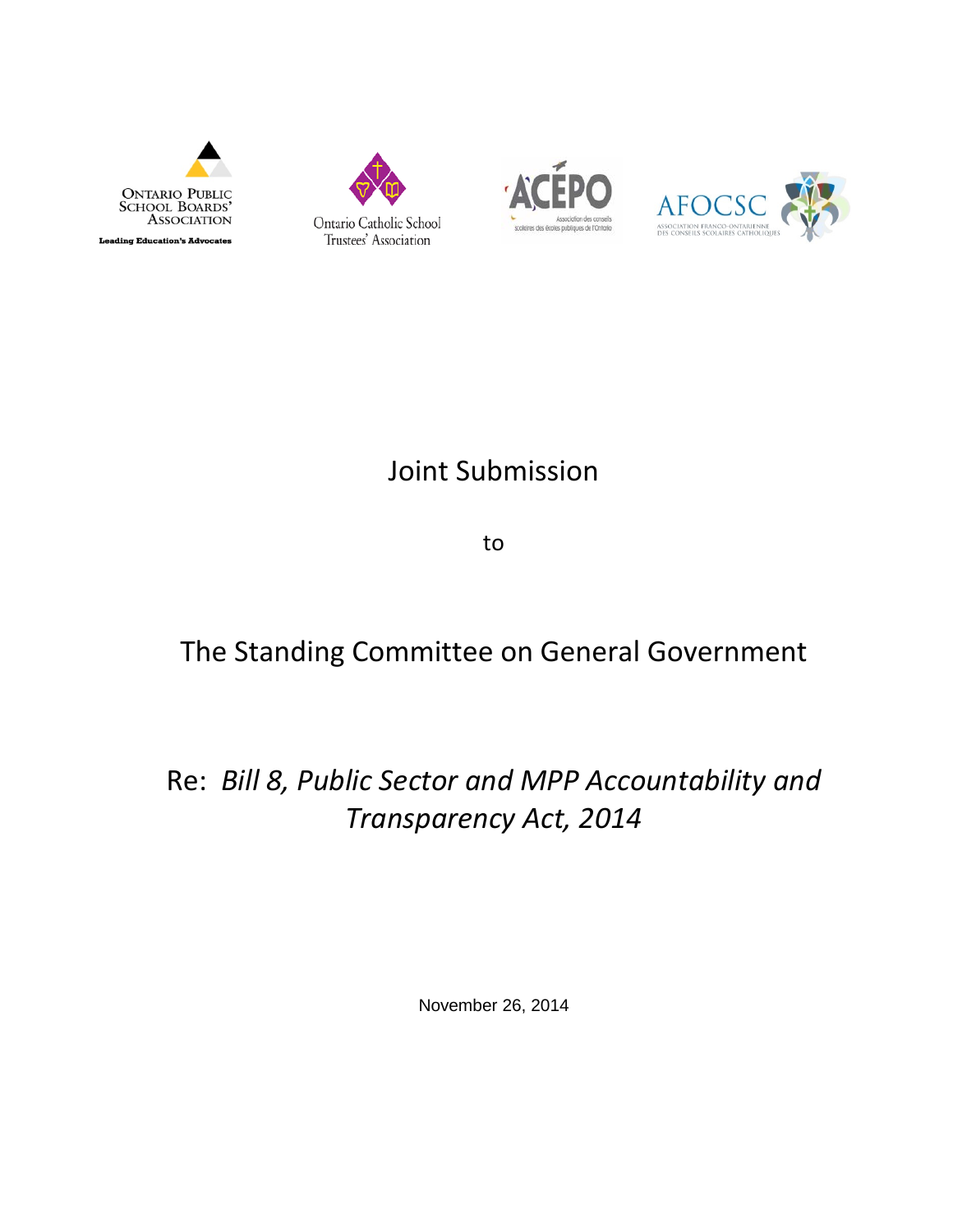







# Joint Submission

to

## The Standing Committee on General Government

## Re: *Bill 8, Public Sector and MPP Accountability and Transparency Act, 2014*

November 26, 2014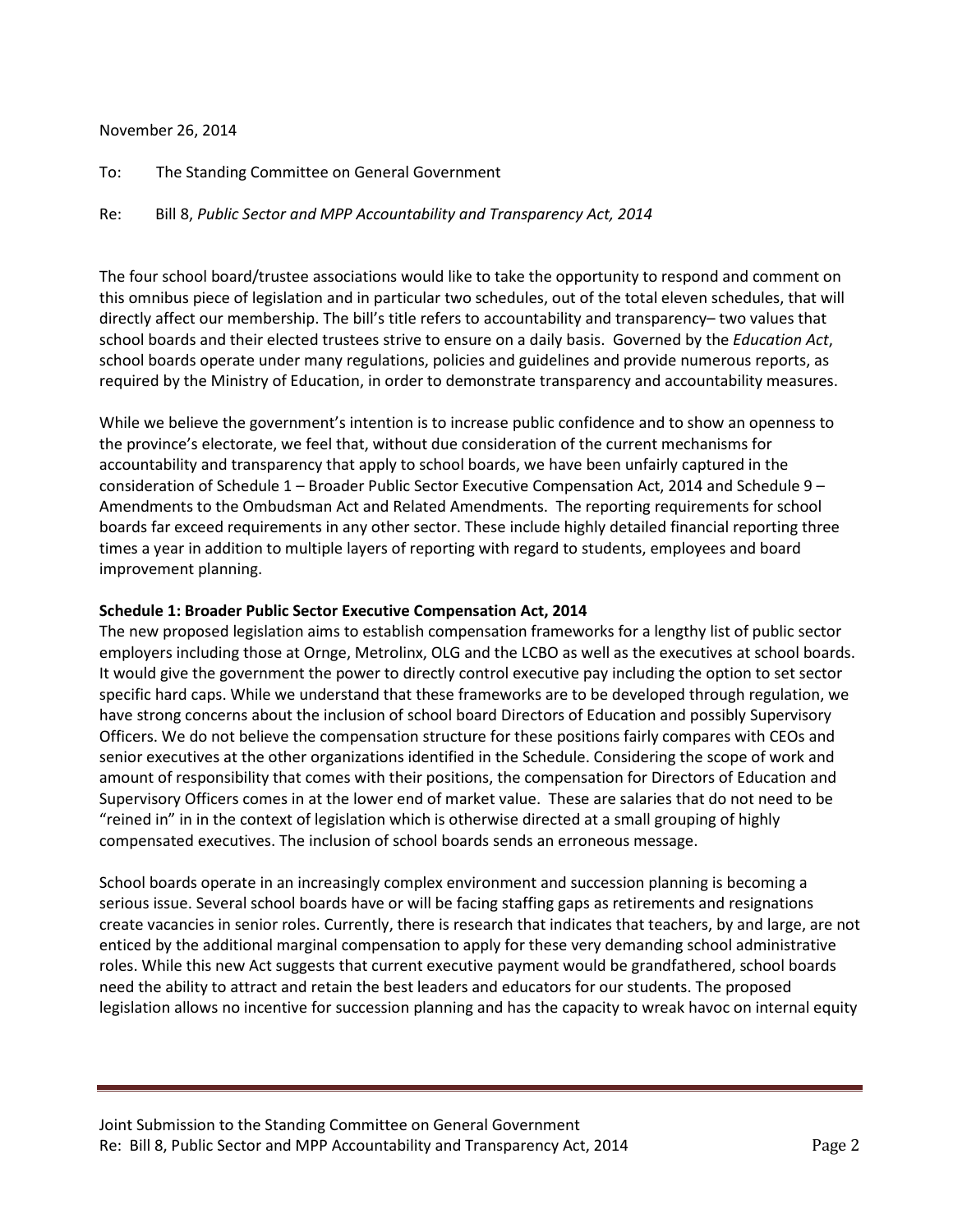#### November 26, 2014

To: The Standing Committee on General Government

Re: Bill 8, *Public Sector and MPP Accountability and Transparency Act, 2014*

The four school board/trustee associations would like to take the opportunity to respond and comment on this omnibus piece of legislation and in particular two schedules, out of the total eleven schedules, that will directly affect our membership. The bill's title refers to accountability and transparency– two values that school boards and their elected trustees strive to ensure on a daily basis. Governed by the *Education Act*, school boards operate under many regulations, policies and guidelines and provide numerous reports, as required by the Ministry of Education, in order to demonstrate transparency and accountability measures.

While we believe the government's intention is to increase public confidence and to show an openness to the province's electorate, we feel that, without due consideration of the current mechanisms for accountability and transparency that apply to school boards, we have been unfairly captured in the consideration of Schedule 1 – Broader Public Sector Executive Compensation Act, 2014 and Schedule 9 – Amendments to the Ombudsman Act and Related Amendments. The reporting requirements for school boards far exceed requirements in any other sector. These include highly detailed financial reporting three times a year in addition to multiple layers of reporting with regard to students, employees and board improvement planning.

### **Schedule 1: Broader Public Sector Executive Compensation Act, 2014**

The new proposed legislation aims to establish compensation frameworks for a lengthy list of public sector employers including those at Ornge, Metrolinx, OLG and the LCBO as well as the executives at school boards. It would give the government the power to directly control executive pay including the option to set sector specific hard caps. While we understand that these frameworks are to be developed through regulation, we have strong concerns about the inclusion of school board Directors of Education and possibly Supervisory Officers. We do not believe the compensation structure for these positions fairly compares with CEOs and senior executives at the other organizations identified in the Schedule. Considering the scope of work and amount of responsibility that comes with their positions, the compensation for Directors of Education and Supervisory Officers comes in at the lower end of market value. These are salaries that do not need to be "reined in" in in the context of legislation which is otherwise directed at a small grouping of highly compensated executives. The inclusion of school boards sends an erroneous message.

School boards operate in an increasingly complex environment and succession planning is becoming a serious issue. Several school boards have or will be facing staffing gaps as retirements and resignations create vacancies in senior roles. Currently, there is research that indicates that teachers, by and large, are not enticed by the additional marginal compensation to apply for these very demanding school administrative roles. While this new Act suggests that current executive payment would be grandfathered, school boards need the ability to attract and retain the best leaders and educators for our students. The proposed legislation allows no incentive for succession planning and has the capacity to wreak havoc on internal equity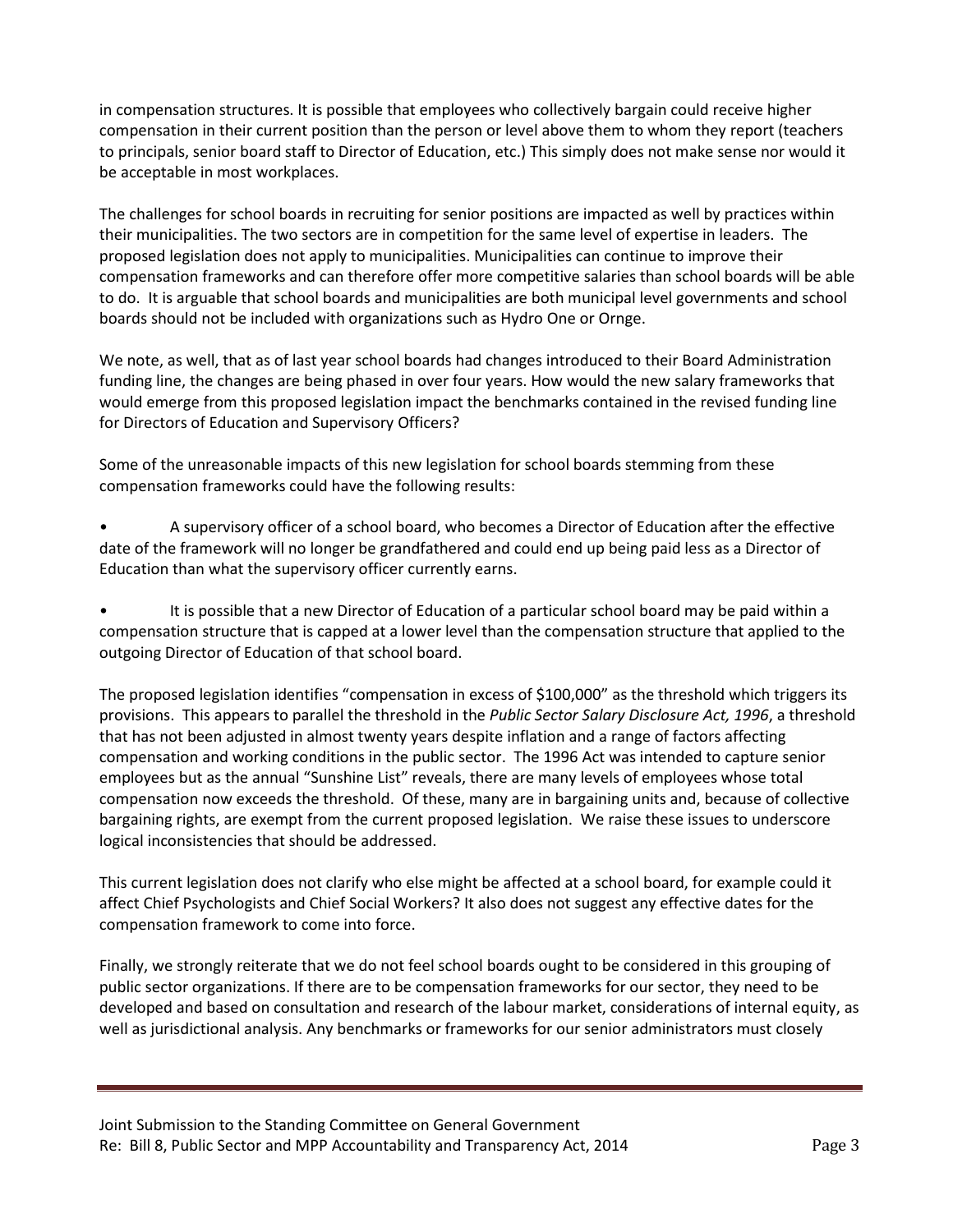in compensation structures. It is possible that employees who collectively bargain could receive higher compensation in their current position than the person or level above them to whom they report (teachers to principals, senior board staff to Director of Education, etc.) This simply does not make sense nor would it be acceptable in most workplaces.

The challenges for school boards in recruiting for senior positions are impacted as well by practices within their municipalities. The two sectors are in competition for the same level of expertise in leaders. The proposed legislation does not apply to municipalities. Municipalities can continue to improve their compensation frameworks and can therefore offer more competitive salaries than school boards will be able to do. It is arguable that school boards and municipalities are both municipal level governments and school boards should not be included with organizations such as Hydro One or Ornge.

We note, as well, that as of last year school boards had changes introduced to their Board Administration funding line, the changes are being phased in over four years. How would the new salary frameworks that would emerge from this proposed legislation impact the benchmarks contained in the revised funding line for Directors of Education and Supervisory Officers?

Some of the unreasonable impacts of this new legislation for school boards stemming from these compensation frameworks could have the following results:

• A supervisory officer of a school board, who becomes a Director of Education after the effective date of the framework will no longer be grandfathered and could end up being paid less as a Director of Education than what the supervisory officer currently earns.

• It is possible that a new Director of Education of a particular school board may be paid within a compensation structure that is capped at a lower level than the compensation structure that applied to the outgoing Director of Education of that school board.

The proposed legislation identifies "compensation in excess of \$100,000" as the threshold which triggers its provisions. This appears to parallel the threshold in the *Public Sector Salary Disclosure Act, 1996*, a threshold that has not been adjusted in almost twenty years despite inflation and a range of factors affecting compensation and working conditions in the public sector. The 1996 Act was intended to capture senior employees but as the annual "Sunshine List" reveals, there are many levels of employees whose total compensation now exceeds the threshold. Of these, many are in bargaining units and, because of collective bargaining rights, are exempt from the current proposed legislation. We raise these issues to underscore logical inconsistencies that should be addressed.

This current legislation does not clarify who else might be affected at a school board, for example could it affect Chief Psychologists and Chief Social Workers? It also does not suggest any effective dates for the compensation framework to come into force.

Finally, we strongly reiterate that we do not feel school boards ought to be considered in this grouping of public sector organizations. If there are to be compensation frameworks for our sector, they need to be developed and based on consultation and research of the labour market, considerations of internal equity, as well as jurisdictional analysis. Any benchmarks or frameworks for our senior administrators must closely

Joint Submission to the Standing Committee on General Government Re: Bill 8, Public Sector and MPP Accountability and Transparency Act, 2014 Page 3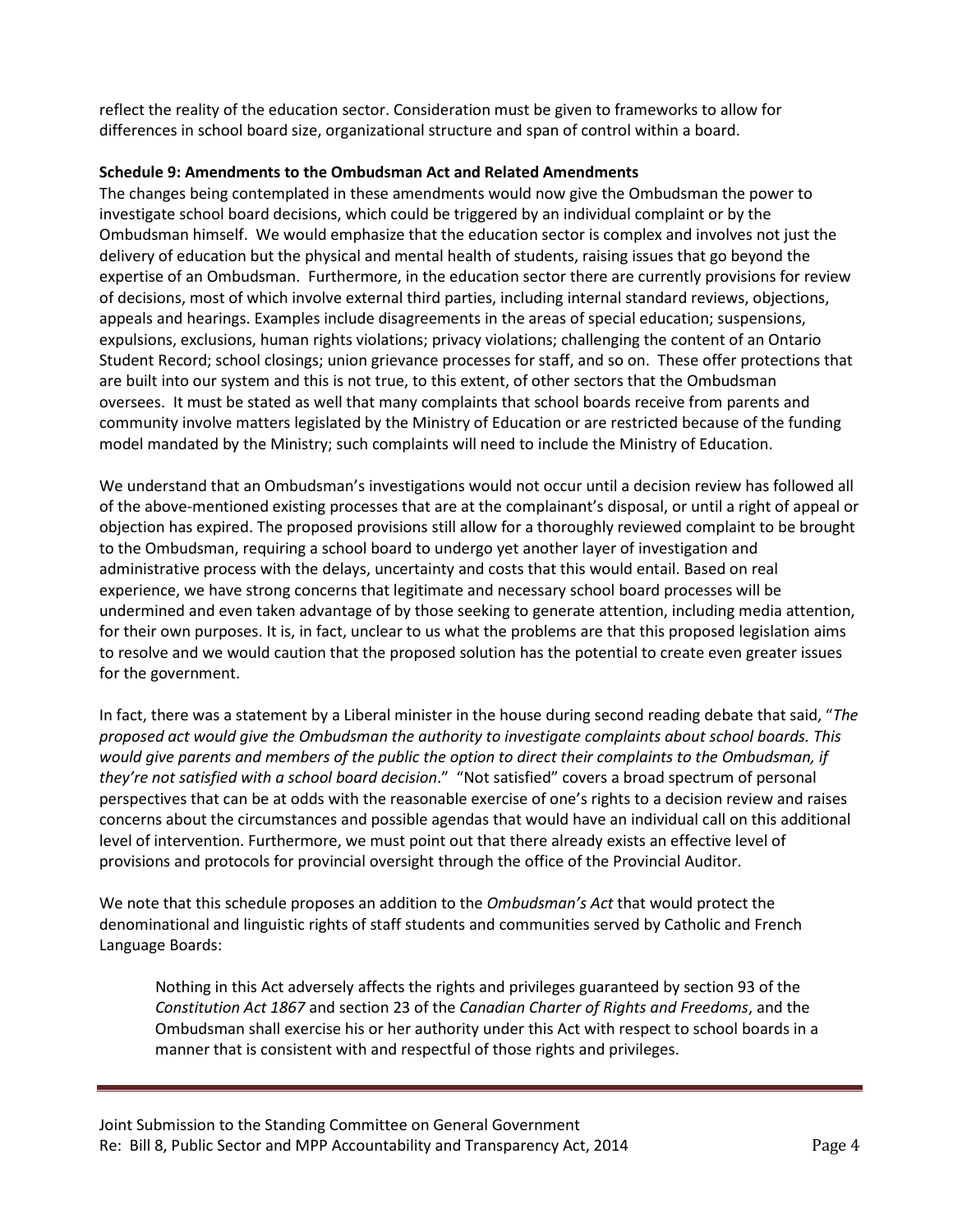reflect the reality of the education sector. Consideration must be given to frameworks to allow for differences in school board size, organizational structure and span of control within a board.

### **Schedule 9: Amendments to the Ombudsman Act and Related Amendments**

The changes being contemplated in these amendments would now give the Ombudsman the power to investigate school board decisions, which could be triggered by an individual complaint or by the Ombudsman himself. We would emphasize that the education sector is complex and involves not just the delivery of education but the physical and mental health of students, raising issues that go beyond the expertise of an Ombudsman. Furthermore, in the education sector there are currently provisions for review of decisions, most of which involve external third parties, including internal standard reviews, objections, appeals and hearings. Examples include disagreements in the areas of special education; suspensions, expulsions, exclusions, human rights violations; privacy violations; challenging the content of an Ontario Student Record; school closings; union grievance processes for staff, and so on. These offer protections that are built into our system and this is not true, to this extent, of other sectors that the Ombudsman oversees. It must be stated as well that many complaints that school boards receive from parents and community involve matters legislated by the Ministry of Education or are restricted because of the funding model mandated by the Ministry; such complaints will need to include the Ministry of Education.

We understand that an Ombudsman's investigations would not occur until a decision review has followed all of the above-mentioned existing processes that are at the complainant's disposal, or until a right of appeal or objection has expired. The proposed provisions still allow for a thoroughly reviewed complaint to be brought to the Ombudsman, requiring a school board to undergo yet another layer of investigation and administrative process with the delays, uncertainty and costs that this would entail. Based on real experience, we have strong concerns that legitimate and necessary school board processes will be undermined and even taken advantage of by those seeking to generate attention, including media attention, for their own purposes. It is, in fact, unclear to us what the problems are that this proposed legislation aims to resolve and we would caution that the proposed solution has the potential to create even greater issues for the government.

In fact, there was a statement by a Liberal minister in the house during second reading debate that said, "*The proposed act would give the Ombudsman the authority to investigate complaints about school boards. This would give parents and members of the public the option to direct their complaints to the Ombudsman, if they're not satisfied with a school board decision*." "Not satisfied" covers a broad spectrum of personal perspectives that can be at odds with the reasonable exercise of one's rights to a decision review and raises concerns about the circumstances and possible agendas that would have an individual call on this additional level of intervention. Furthermore, we must point out that there already exists an effective level of provisions and protocols for provincial oversight through the office of the Provincial Auditor.

We note that this schedule proposes an addition to the *Ombudsman's Act* that would protect the denominational and linguistic rights of staff students and communities served by Catholic and French Language Boards:

Nothing in this Act adversely affects the rights and privileges guaranteed by section 93 of the *Constitution Act 1867* and section 23 of the *Canadian Charter of Rights and Freedoms*, and the Ombudsman shall exercise his or her authority under this Act with respect to school boards in a manner that is consistent with and respectful of those rights and privileges.